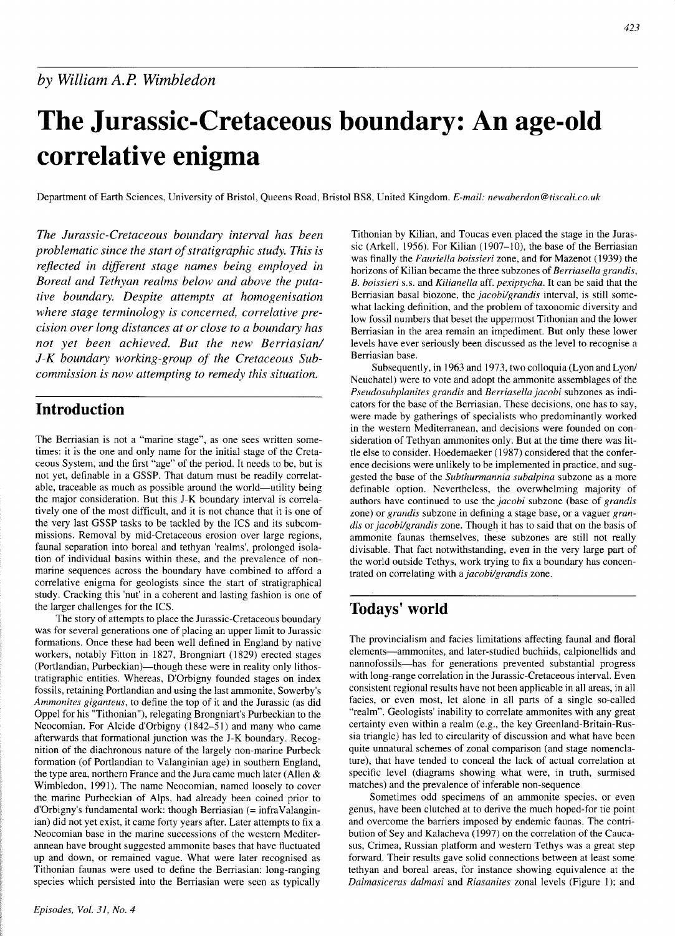#### 423

# **The Jurassic-Cretaceous boundary: An age-old correlative enigma**

Department of Earth Sciences, University of Bristol, Queens Road, Bristol BS8, United Kingdom. *E-mail:* newaberdon@tiscali.co.uk

*The Jurassic-Cretaceous boundary interval has been* Tithonian by Kilian, and Toucas even placed the stage in the Juras-<br>
problematic since the start of strationary interval. This is sic (Arkell, 1956). For Kilian (1907–10 *problematic since the start of stratigraphic study. This is* sic (Arkell, 1956). For Kilian (1907–10), the base of the Berriasian<br>was finally the *Fauriella boissieri* zone, and for Mazenot (1939) the was finally the *Fauriella boissieri zone*, and for Mazenot (1939) the *reflected in different stage names being employed in* horizons of Kilian became the three subzones of *Berriasella grandis*, *Boreal and Tethyan realm tive boundary. Despite attempts at homogenisation* Berriasian basal biozone, the *jacobi/grandis* interval, is still some-<br>what lacking definition, and the problem of taxonomic diversity and<br>what lacking definition, and t where stage terminology is concerned, correlative pre-<br>low fossil numbers that beset the uppermost Tithonian and the lower *cision over long distances at or close to a boundary has* Berriasian in the area remain an impediment. But only these lower *not yet been achieved. But the new Berriasian/ J-K boundary working-group of the Cretaceous Subcommission is now attempting to remedy this situation.* 

## **Introduction**

The Berriasian is not a "marine stage", as one sees written sometimes: it is the one and only name for the initial stage of the Cretaceous System, and the first "age" of the period. It needs to be, but is not yet, definable in a GSSP. That datum must be readily correlatable, traceable as much as possible around the world-utility being the major consideration. But this J-K boundary interval is correlatively one of the most difficult, and it is not chance that it is one of the very last GSSP tasks to be tackled by the ICS and its subcommissions. Removal by mid-Cretaceous erosion over large regions, faunal separation into boreal and tethyan 'realms', prolonged isolation of individual basins within these, and the prevalence of nonmarine sequences across the boundary have combined to afford a correlative enigma for geologists since the start of stratigraphical study. Cracking this 'nut' in a coherent and lasting fashion is one of the larger challenges for the ICS.

The story of attempts to place the Jurassic-Cretaceous boundary was for several generations one of placing an upper limit to Jurassic formations. Once these had been well defined in England by native workers, notably Fitton in 1827, Brongniart (1829) erected stages (Portlandian, Purbeckian)—though these were in reality only lithostratigraphic entities. Whereas, D'Orbigny founded stages on index fossils, retaining Portlandian and using the last ammonite, Sowerby's *Ammonites giganteus,* to define the top of it and the Jurassic (as did Oppel for his "Tithonian"), relegating Brongniart's Purbeckian to the Neocomian. For Alcide d'orbigny (1842-51) and many who came afterwards that formational junction was the J-K boundary. Recognition of the diachronous nature of the largely non-marine Purbeck formation (of Portlandian to Valanginian age) in southern England, the type area, northern France and the Jura came much later (Allen & Wimbledon, 1991). The name Neocomian, named loosely to cover the marine Purbeckian of Alps, had already been coined prior to  $d'Orbigny's fundamental work: though Berriasian (= infraValangin$ ian) did not yet exist, it came forty years after. Later attempts to fix a Neocomian base in the marine successions of the western Mediterannean have brought suggested ammonite bases that have fluctuated up and down, or remained vague. What were later recognised as Tithonian faunas were used to define the Berriasian: long-ranging species which persisted into the Berriasian were seen as typically

*B. boissieri s.s.* and *Kilianella* aff. *pexiptycha*. It can be said that the Berriasian basal biozone, the *jacobi/grandis* interval, is still somelevels have ever seriously been discussed as the level to recognise a Berriasian base.

Subsequently, in 1963 and 1973, two colloquia (Lyon and Lyon/ Neuchatel) were to vote and adopt the ammonite assemblages of the *Pse~ldosubplanites grandis* and *Berriasella jacobi* subzones as indicators for the base of the Berriasian. These decisions, one has to say, were made by gatherings of specialists who predominantly worked in the western Mediterranean, and decisions were founded on consideration of Tethyan ammonites only. But at the time there was little else to consider. Hoedemaeker (1987) considered that the conference decisions were unlikely to be implemented in practice, and suggested the base of the *Subthumannia subalpina* subzone as a more definable option. Nevertheless, the overwhelming majority of authors have continued to use the *jacobi* subzone (base of *grandis*  zone) or *grandis* subzone in defining a stage base, or a vaguer *grandis* or *jacobi/grandis* zone. Though it has to said that on the basis of ammonite faunas themselves, these subzones are still not really divisable. That fact notwithstanding, even in the very large part of the world outside Tethys, work trying to fix a boundary has concentrated on correlating with a *jacobi/grandis* zone.

# **Todays' world**

The provincialism and facies limitations affecting faunal and floral elements-ammonites, and later-studied buchiids, calpionellids and nannofossils-has for generations prevented substantial progress with long-range correlation in the Jurassic-Cretaceous interval. Even consistent regional results have not been applicable in all areas, in all facies, or even most, let alone in all parts of a single so-called "realm". Geologists' inability to correlate ammonites with any great certainty even within a realm (e.g., the key Greenland-Britain-Russia triangle) has led to circularity of discussion and what have been quite unnatural schemes of zonal comparison (and stage nomenclature), that have tended to conceal the lack of actual correlation at specific level (diagrams showing what were, in truth, surmised matches) and the prevalence of inferable non-sequence

Sometimes odd specimens of an ammonite species, or even genus, have been clutched at to derive the much hoped-for tie point and overcome the barriers imposed by endemic faunas. The contribution of Sey and Kalacheva (1997) on the correlation of the Caucasus, Crimea, Russian platform and western Tethys was a great step forward. Their results gave solid connections between at least some tethyan and boreal areas, for instance showing equivalence at the *Dalmasicerus dalmasi* and *Riasanites* zonal levels (Figure l): and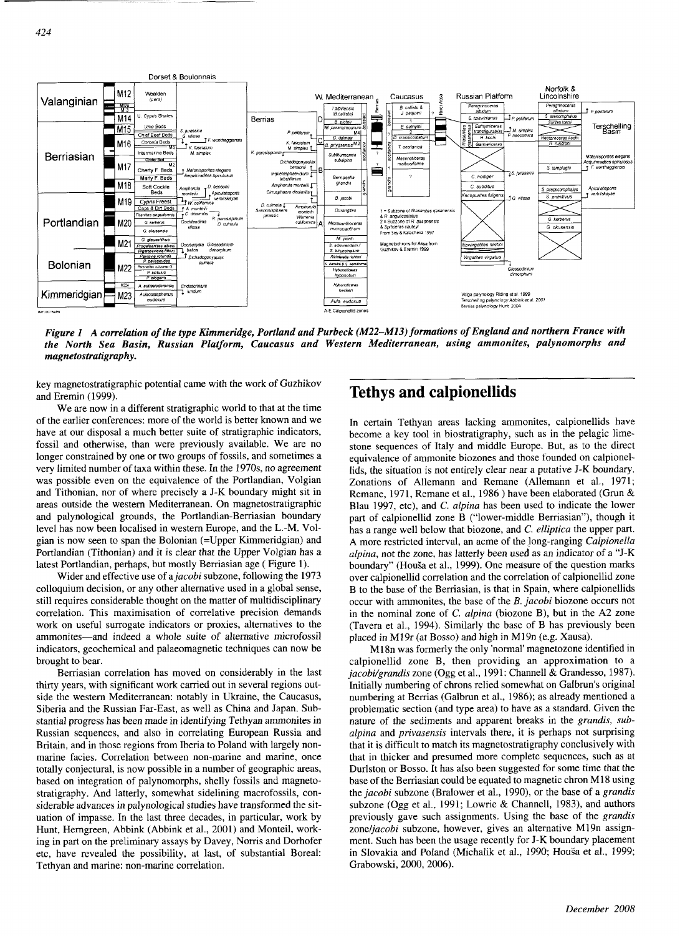

*Figure 1 A correlation of the type Kimrnenilge, Portland and Purbeck (M22-M13) formations of England and northern France with the North Sea Basin, Russian Platform, Caucasus and Western Mediterranean, using ammonites, palynomorphs and magnetostratigraphy.* 

key magnetostratigraphic potential came with the work of Guzhikov and Eremin (1999). **Tethys and calpionellids** 

We are now in a different stratigraphic world to that at the time of the earlier conferences: more of the world is better known and we have at our disposal a much better suite of stratigraphic indicators, fossil and otherwise, than were previously available. We are no longer constrained by one or two groups of fossils, and sometimes a very limited number of taxa within these. In the 1970s, no agreement was possible even on the equivalence of the Portlandian, Volgian and Tithonian, nor of where precisely a J-K boundary might sit in areas outside the western Mediterranean. On magnetostratigraphic and palynological grounds, the Portlandian-Berriasian boundary level has now been localised in western Europe, and the L.-M. Volgian is now seen to span the Bolonian (=Upper Kimmeridgian) and Portlandian (Tithonian) and it is clear that the Upper Volgian has a latest Portlandian, perhaps, but mostly Berriasian age (Figure 1).

Wider and effective use of a *jacobi* subzone, following the 1973 colloquium decision, or any other alternative used in a global sense, still requires considerable thought on the matter of multidisciplinary correlation. This maximisation of correlative precision demands work on useful surrogate indicators or proxies, alternatives to the ammonites—and indeed a whole suite of alternative microfossil indicators, geochemical and palaeomagnetic techniques can now be

Russian sequences, and also in correlating European Russia and Britain, and in those regions from Iberia to Poland with largely nonmarine facies. Correlation between non-marine and marine, once totally conjectural, is now possible in a number of geographic areas, based on integration of palynomorphs, shelly fossils and magnetostratigraphy. And latterly, somewhat sidelining macrofossils, considerable advances in palynological studies have transformed the situation of impasse. In the last three decades, in particular, work by Hunt, Herngreen, Abbink (Abbink et al., 2001) and Monteil, working in part on the preliminary assays by Davey, Norris and Dorhofer etc, have revealed the possibility, at last, of substantial Boreal: Tethyan and marine: non-marine correlation.

In certain Tethyan areas lacking ammonites, calpionellids have become a key tool in biostratigraphy, such as in the pelagic limestone sequences of Italy and middle Europe. But, as to the direct equivalence of ammonite biozones and those founded on calpionellids, the situation is not entirely clear near a putative J-K boundary. Zonations of Allemann and Remane (Allemann et al., 1971; Remane, 1971, Remane et al., 1986 ) have been elaborated (Grun & Blau 1997, etc), and C. *alpina* has been used to indicate the lower part of calpionellid zone B ("lower-middle Berriasian"), though it has a range well below that biozone, and C. *elliprica* the upper part. A more restricted interval, an acme of the long-ranging *Calpionella alpina,* not the zone, has latterly been used as an indicator of a "J-K boundary" (Houša et al., 1999). One measure of the question marks over calpionellid correlation and the correlation of calpionellid zone B to the base of the Berriasian, is that in Spain, where calpionellids occur with ammonites, the base of the B. *jacobi* biozone occurs not in the nominal zone of C. *alpina* (biozone *B),* but in the A2 zone (Tavera et al., 1994). Similarly the base of B has previously been placed in M19r (at Bosso) and high in M19n (e.g. Xausa).

M18n was formerly the only 'normal' magnetozone identified in brought to bear. calpionellid zone B, then providing an approximation to a Berriasian correlation has moved on considerably in the last *jacobi/grandis* zone (Ogg et al., 1991: Channell & Grandesso, 1987).<br>
Initially numbering of chrons relied somewhat on Galbrun's original<br>
Initially numbering o thirty years, with significant work carried out in several regions out-<br>side the western Mediterranean: notably in Ukraine, the Caucasus, mumbering at Berrias (Galbrun et al., 1986); as already mentioned a numbering at Berrias (Galbrun et al., 1986); as already mentioned a Siberia and the Russian Far-East, as well as China and Japan. Sub- problematic section (and type area) to have as a standard. Given the stantial progress has been made in identifying Tethyan ammonites in nature of the sediments and apparent breaks in the *grandis, sub alpina* and *privasensis* intervals there, it is perhaps not surprising that it is difficult to match its magnetostratigraphy conclusively with that in thicker and presumed more complete sequences, such as at Durlston or Bosso. It has also been suggested for some time that the base of the Berriasian could be equated to magnetic chron M18 using the *jacobi* subzone (Bralower et al., 1990), or the base of a *grandis*  subzone (Ogg et al., 1991; Lowrie & Channell, 1983), and authors previously gave such assignments. Using the base of the *grandis*  zone/jacobi subzone, however, gives an alternative M19n assignment. Such has been the usage recently for J-K boundary placement in Slovakia and Poland (Michalik et al., 1990; Houša et al., 1999; Grabowski, 2000, 2006).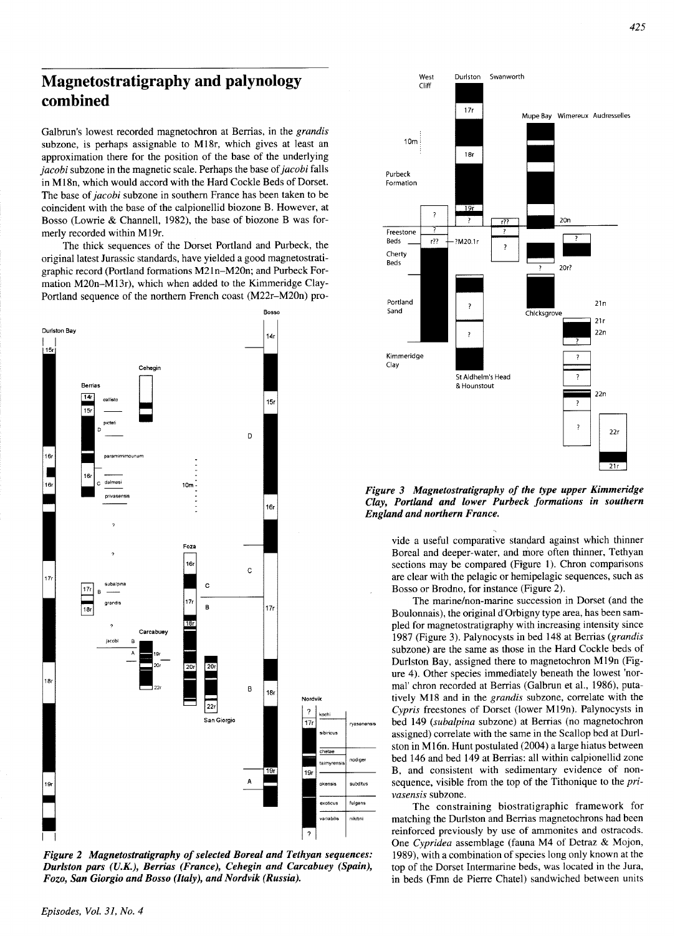# **Magnetostratigraphy and palynology combined**

Galbrun's lowest recorded magnetochron at Berrias, in the grandis subzone, is perhaps assignable to M18r, which gives at least an approximation there for the position of the base of the underlying jacobi subzone in the magnetic scale. Perhaps the base of jacobi falls in M18n, which would accord with the Hard Cockle Beds of Dorset. The base of *jacobi* subzone in southern France has been taken to be coincident with the base of the calpionellid biozone B. However, at Bosso (Lowrie & Channell, 1982), the base of biozone B was formerly recorded within M19r.

The thick sequences of the Dorset Portland and Purbeck, the original latest Jurassic standards, have yielded a good magnetostratigraphic record (Portland formations M21n-M20n; and Purbeck Formation M20n-M13r), which when added to the Kimmeridge Clay-Portland sequence of the northern French coast (M22r-M20n) pro-



*Figure 2 Magnetostratigraphy of selected Boreal and Tethyan sequences: Durlston pars (U.K.), Berrias (France), Cehegin and Carcabueq Fozo, San Giorgio and Bosso (Italy), and Nordvik (Russia).* 



*Figure 3 Magnetostratigraphy of the type upper Kimmeridge Clay, Portland and lower Purbeck formations in southern England and northern France.* 

vide a useful comparative standard against which thinner Boreal and deeper-water, and more often thinner, Tethyan sections may be compared (Figure 1). Chron comparisons are clear with the pelagic or hernipelagic sequences, such as Bosso or Brodno, for instance (Figure 2).

The marine/non-marine succession in Dorset (and the Boulonnais), the original d'orbigny type area, has been sampled for magnetostratigraphy with increasing intensity since 1987 (Figure 3). Palynocysts in bed 148 at Berrias (grandis subzone) are the same as those in the Hard Cockle beds of Durlston Bay, assigned there to magnetochron M19n (Figure 4). Other species immediately beneath the lowest 'normal' chron recorded at Berrias (Galbrun et al., 1986), putatively M18 and in the grandis subzone, correlate with the Cypris freestones of Dorset (lower M19n). Palynocysts in bed 149 (*subalpina* subzone) at Berrias (no magnetochron assigned) correlate with the same in the Scallop bed at Durlston in M16n. Hunt postulated (2004) a large hiatus between bed 146 and bed 149 at Berrias: all within calpionellid zone B, and consistent with sedimentary evidence of nonsequence, visible from the top of the Tithonique to the *pri*vasensis subzone.

The constraining biostratigraphic framework for matching the Durlston and Berrias magnetochrons had been reinforced previously by use of ammonites and ostracods. One Cypridea assemblage (fauna M4 of Detraz & Mojon, 1989), with a combination of species long only known at the top of the Dorset Intermarine beds, was located in the Jura, in beds (Fmn de Pierre Chatel) sandwiched between units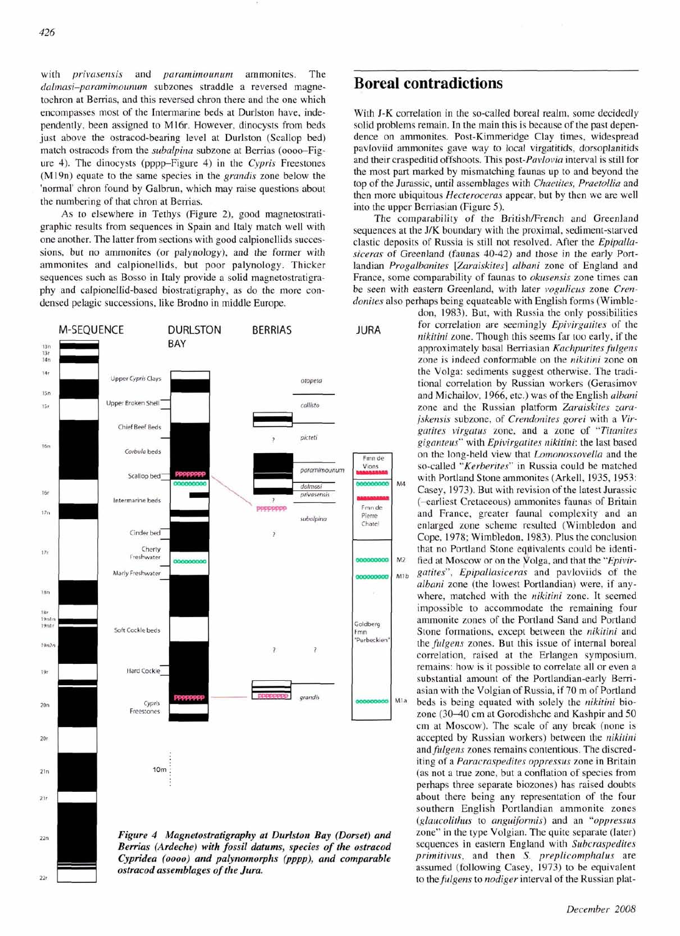with *privasensis* and *paramimounum* ammonites. The dalmasi-paramimounum subzones straddle a reversed magnetochron at Berrias, and this reversed chron there and the one which encompasses most of the Intermarine beds at Durlston have, independently, been assigned to M16r. However, dinocysts from beds just above the ostracod-bearing level at Durlston (Scallop bed) match ostracods from the *subalpina* subzone at Berrias (0000-Figure 4). The dinocysts (pppp-Figure 4) in the Cypris Freestones (M19n) equate to the same species in the grandis zone below the 'normal' chron found by Galbrun, which may raise questions about the numbering of that chron at Berrias.

As to elsewhere in Tethys (Figure 2), good magnetostratigraphic results from sequences in Spain and Italy match well with one another. The latter from sections with good calpionellids successions, but no ammonites (or palynology), and the former with ammonites and calpionellids, but poor palynology. Thicker sequences such as Bosso in Italy provide a solid magnetostratigraphy and calpionellid-based biostratigraphy, as do the more condensed pelagic successions, like Brodno in middle Europe.



**Boreal contradictions** 

With J-K correlation in the so-called boreal realm, some decidedly solid problems remain. In the main this is because of the past dependence on ammonites. Post-Kimmeridge Clay times, widespread pavloviid ammonites gave way to local virgatitids, dorsoplanitids and their craspeditid offshoots. This post-Pavlovia interval is still for the most part marked by mismatching faunas up to and beyond the top of the Jurassic, until assemblages with Chaetites, Praetollia and then more ubiquitous Hecteroceras appear, but by then we are well into the upper Berriasian (Figure 5).

The comparability of the British/French and Greenland sequences at the **J/K** boundary with the proximal, sediment-starved clastic deposits of Russia is still not resolved. After the Epipallasiceras of Greenland (faunas 40-42) and those in the early Portlandian *Progalbanites* [Zaraiskites] albani zone of England and France, some comparability of faunas to okusensis zone times can be seen with eastern Greenland, with later vogulicus zone Crendonites also perhaps being equateable with English forms (Wimble-

don, 1983). But, with Russia the only possibilities **JURA** for correlation are seemingly *Epivirgatites* of the *nikitini* zone. Though this seems far too early, if the approximately basal Berriasian Kachpurites fulgens zone is indeed conformable on the nikitini zone on the Volga: sediments suggest otherwise. The traditional correlation by Russian workers (Gerasimov and Michailov, 1966, etc.) was of the English albani zone and the Russian platform Zaraiskites zarajskensis subzone, of Crendonites gorei with a Virgatites virgatus zone, and a zone of "Titanites giganteus" with Epivirgatites nikitini: the last based on the long-held view that Lomonossovella and the so-called "Kerberites" in Russia could be matched with Portland Stone ammonites (Arkell, 1935, 1953: Casey, 1973). But with revision of the latest Jurassic (-earliest Cretaceous) ammonites faunas of Britain and France, greater faunal complexity and an enlarged zone scheme resulted (Wimbledon and Cope, 1978; Wimbledon, 1983). Plus the conclusion that no Portland Stone equivalents could be identi-M<sub>2</sub> fied at Moscow or on the Volga, and that the "Epivir- $_{M1b}$  gatites", Epipallasiceras and pavloviids of the albani zone (the lowest Portlandian) were, if anywhere, matched with the nikitini zone. It seemed impossible to accommodate the remaining four ammonite zones of the Portland Sand and Portland Stone formations, except between the nikitini and the *fulgens* zones. But this issue of internal boreal correlation, raised at the Erlangen symposium, remains: how is it possible to correlate all or even a substantial amount of the Portlandian-early Berriasian with the Volgian of Russia, if 70 m of Portland M<sup>1a</sup> beds is being equated with solely the nikitini biozone (30-40 cm at Gorodishche and Kashpir and 50 cm at Moscow). The scale of any break (none is accepted by Russian workers) between the nikitini and fulgens zones remains contentious. The discrediting of a Paracraspedites oppressus zone in Britain (as not a true zone, but a conflation of species from perhaps three separate biozones) has raised doubts about there being any representation of the four southern English Portlandian ammonite zones (glaucolithus to anguiformis) and an "oppressus zone" in the type Volgian. The quite separate (later) sequences in eastern England with Subcraspedites primitivus, and then S. preplicomphalus are assumed (following Casey, 1973) to be equivalent to the fulgens to nodiger interval of the Russian plat-

#### December 2008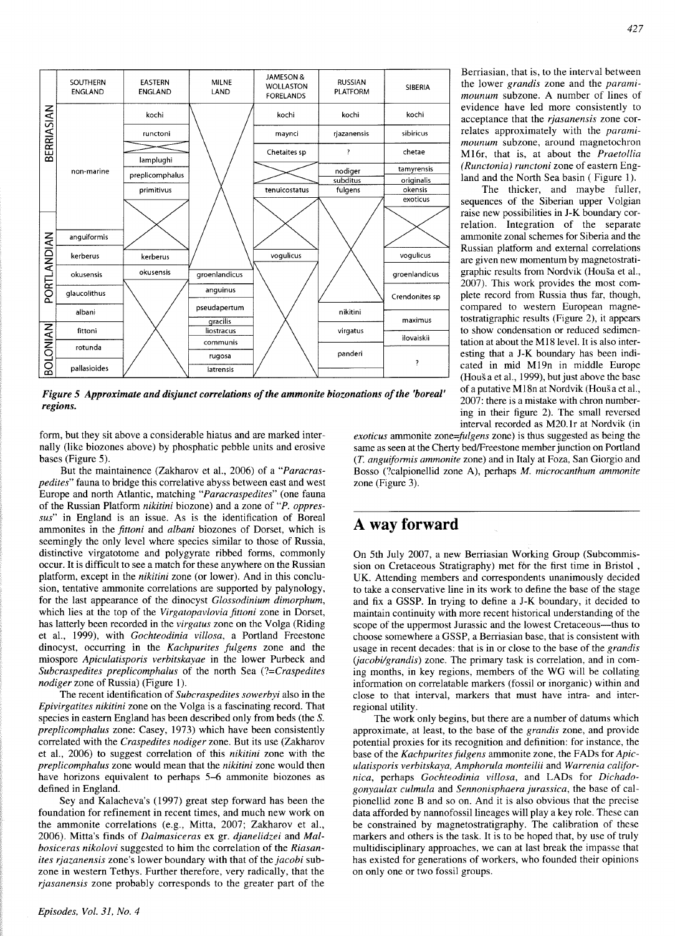

*Figure 5 Approximate and disjunct correlations of the ammonite biozonations of the 'boreal' regions.* 

form, but they sit above a considerable hiatus and are marked internally (like biozones above) by phosphatic pebble units and erosive bases (Figure 5).

But the maintainence (Zakharov et al., 2006) of a *"Paracraspedites"* fauna to bridge this correlative abyss between east and west Europe and north Atlantic, matching *"Paracraspedites"* (one fauna of the Russian Platform *nikitini* biozone) and a zone of *"P. oppressus"* in England is an issue. As is the identification of Boreal ammonites in the *jittoni* and *albani* biozones of Dorset, which is seemingly the only level where species similar to those of Russia, distinctive virgatotome and polygyrate ribbed forms, commonly occur. It is difficult to see a match for these anywhere on the Russian platform, except in the *nikitini* zone (or lower). And in this conclusion, tentative ammonite correlations are supported by palynology, for the last appearance of the dinocyst *Glossodinium dimorphum,*  which lies at the top of the *Virgatopavlovia fittoni* zone in Dorset, has latterly been recorded in the *virgatus* zone on the Volga (Riding et al., 1999), with *Gochteodinia villosa,* a Portland Freestone dinocyst, occurring in the *Kachpurites fulgens* zone and the miospore *Apiculatisporis verbitskayae* in the lower Purbeck and *Subcraspedites preplicomphalus* of the north Sea *(?=Craspedites nodiger* zone of Russia) (Figure **1).** 

The recent identification of *Subcraspedites sowerbyi* also in the *Epivirgatites nikitini* zone on the Volga is a fascinating record. That species in eastern England has been described only from beds (the *S. preplicomphalus* zone: Casey, 1973) which have been consistently correlated with the *Craspedites nodiger* zone. But its use (Zakharov et al., 2006) to suggest correlation of this *nikitini* zone with the *preplicomphalus* zone would mean that the *nikitini* zone would then have horizons equivalent to perhaps 5-6 ammonite biozones as defined in England.

Sey and Kalacheva's (1997) great step forward has been the foundation for refinement in recent times, and much new work on the ammonite correlations (e.g., Mitta, 2007; Zakharov et al., 2006). Mitta's finds of *Dalmasiceras* ex gr. *djanelidzei* and *Malbosiceras nikolovi* suggested to him the correlation of the *Riasanites rjazanensis* zone's lower boundary with that of the *jacobi* subzone in western Tethys. Further therefore, very radically, that the *rjasanensis* zone probably corresponds to the greater part of the

Berriasian, that is, to the interval between the lower *grandis* zone and the *paramimounum* subzone. A number of lines of evidence have led more consistently to acceptance that the *rjasanensis* zone correlates approximately with the *paramimounum* subzone, around magnetochron M16r, that is, at about the *Praetollia (Runctonia) runctoni* zone of eastern England and the North Sea basin ( Figure 1).

The thicker, and maybe fuller, sequences of the Siberian upper Volgian raise new possibilities in J-K boundary correlation. Integration of the separate ammonite zonal schemes for Siberia and the Russian platform and external correlations are given new momentum by magnetostratigraphic results from Nordvik (Houša et al., 2007). This work provides the most complete record from Russia thus far, though, compared to western European magnetostratigraphic results (Figure 2), it appears to show condensation or reduced sedimentation at about the M18 level. It is also interesting that a J-K boundary has been indicated in mid M19n in middle Europe (HouSa et al., 1999), but just above the base of a putative M18n at Nordvik (Houša et al., 2007: there is a mistake with chron numbering in their figure 2). The small reversed interval recorded as M20.lr at Nordvik (in

*exoticus* ammonite zone=*fulgens* zone) is thus suggested as being the same as seen at the Cherty bed/Freestone member junction on Portland (T. *angufomzis ammonite* zone) and in Italy at Foza, San Giorgio and Bosso (?calpionellid zone A), perhaps *M. microcanthum ammonite*  zone (Figure 3).

### **A way forward**

On 5th July 2007, a new Berriasian Working Group (Subcommission on Cretaceous Stratigraphy) met for the first time in Bristol , UK. Attending members and correspondents unanimously decided to take a conservative line in its work to define the base of the stage and fix a GSSP. In trying to define a J-K boundary, it decided to maintain continuity with more recent historical understanding of the scope of the uppermost Jurassic and the lowest Cretaceous-thus to choose somewhere a GSSP, a Berriasian base, that is consistent with usage in recent decades: that is in or close to the base of the *grandis (jacobi/grandis)* zone. The primary task is correlation, and in coming months, in key regions, members of the WG will be collating information on correlatable markers (fossil or inorganic) within and close to that interval, markers that must have intra- and interregional utility.

The work only begins, but there are a number of datums which approximate, at least, to the base of the *grandis* zone, and provide potential proxies for its recognition and definition: for instance, the base of the *Kachpurites fulgens* ammonite zone, the FADS for *Apiculatisporis verbitskaya, Amphorula monteilii* and *Warrenia californica,* perhaps *Gochteodinia villosa,* and LADS for *Dichadogonyaulax culmula* and *Sennonisphaera jurassica,* the base of calpionellid zone B and so on. And it is also obvious that the precise data afforded by nannofossil lineages will play a key role. These can be constrained by magnetostratigraphy. The calibration of these markers and others is the task. It is to be hoped that, by use of truly multidisciplinary approaches, we can at last break the impasse that has existed for generations of workers, who founded their opinions on only one or two fossil groups.